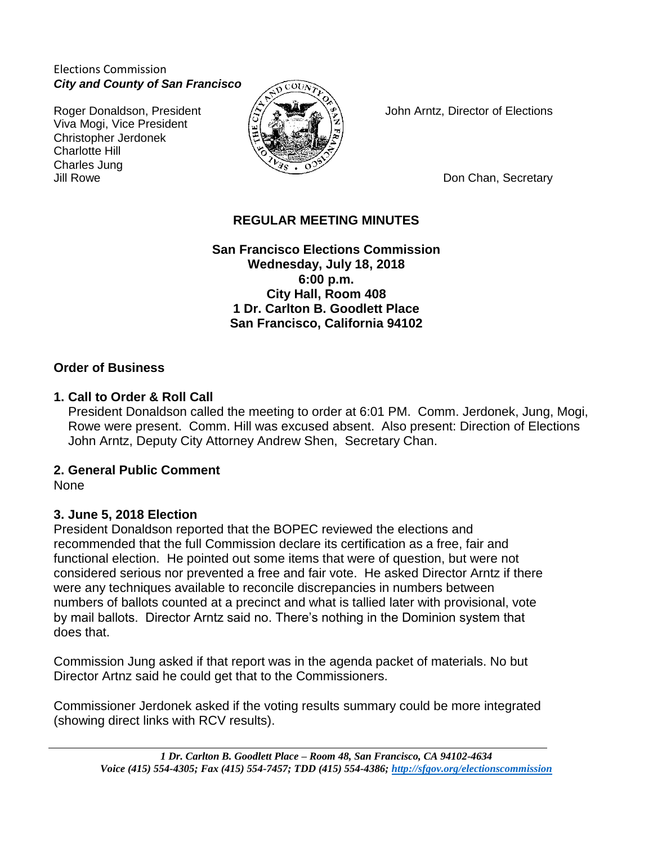#### Elections Commission *City and County of San Francisco*

Viva Mogi, Vice President Christopher Jerdonek Charlotte Hill Charles Jung Jill Rowe Don Chan, Secretary



Roger Donaldson, President  $\sqrt{S}$   $\mathbb{R}$   $\mathbb{Z}$   $\mathbb{Z}$   $\mathbb{Z}$  John Arntz, Director of Elections

# **REGULAR MEETING MINUTES**

**San Francisco Elections Commission Wednesday, July 18, 2018 6:00 p.m. City Hall, Room 408 1 Dr. Carlton B. Goodlett Place San Francisco, California 94102**

### **Order of Business**

# **1. Call to Order & Roll Call**

President Donaldson called the meeting to order at 6:01 PM. Comm. Jerdonek, Jung, Mogi, Rowe were present. Comm. Hill was excused absent. Also present: Direction of Elections John Arntz, Deputy City Attorney Andrew Shen, Secretary Chan.

### **2. General Public Comment**

None

# **3. June 5, 2018 Election**

President Donaldson reported that the BOPEC reviewed the elections and recommended that the full Commission declare its certification as a free, fair and functional election. He pointed out some items that were of question, but were not considered serious nor prevented a free and fair vote. He asked Director Arntz if there were any techniques available to reconcile discrepancies in numbers between numbers of ballots counted at a precinct and what is tallied later with provisional, vote by mail ballots. Director Arntz said no. There's nothing in the Dominion system that does that.

Commission Jung asked if that report was in the agenda packet of materials. No but Director Artnz said he could get that to the Commissioners.

Commissioner Jerdonek asked if the voting results summary could be more integrated (showing direct links with RCV results).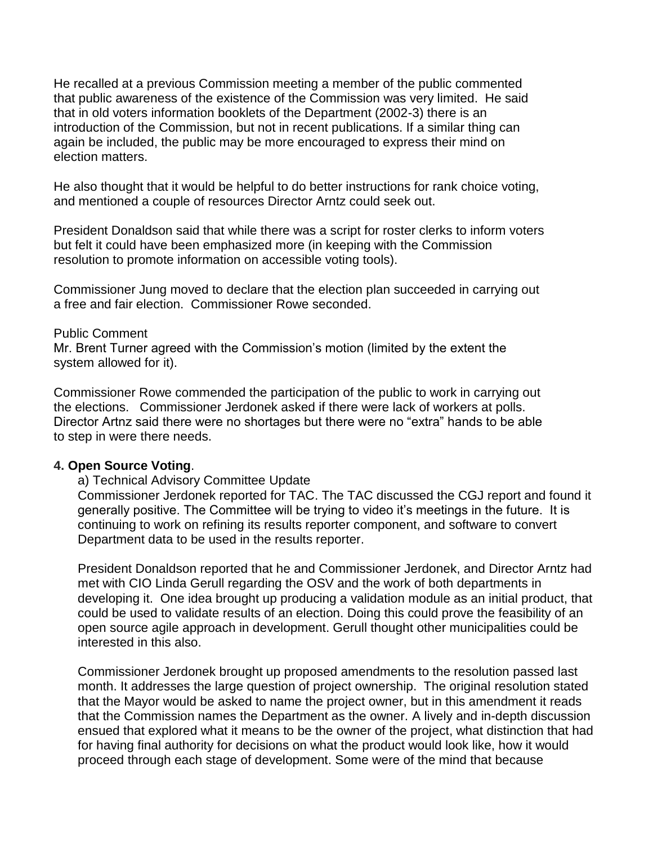He recalled at a previous Commission meeting a member of the public commented that public awareness of the existence of the Commission was very limited. He said that in old voters information booklets of the Department (2002-3) there is an introduction of the Commission, but not in recent publications. If a similar thing can again be included, the public may be more encouraged to express their mind on election matters.

He also thought that it would be helpful to do better instructions for rank choice voting, and mentioned a couple of resources Director Arntz could seek out.

President Donaldson said that while there was a script for roster clerks to inform voters but felt it could have been emphasized more (in keeping with the Commission resolution to promote information on accessible voting tools).

Commissioner Jung moved to declare that the election plan succeeded in carrying out a free and fair election. Commissioner Rowe seconded.

### Public Comment

Mr. Brent Turner agreed with the Commission's motion (limited by the extent the system allowed for it).

Commissioner Rowe commended the participation of the public to work in carrying out the elections. Commissioner Jerdonek asked if there were lack of workers at polls. Director Artnz said there were no shortages but there were no "extra" hands to be able to step in were there needs.

### **4. Open Source Voting**.

a) Technical Advisory Committee Update

Commissioner Jerdonek reported for TAC. The TAC discussed the CGJ report and found it generally positive. The Committee will be trying to video it's meetings in the future. It is continuing to work on refining its results reporter component, and software to convert Department data to be used in the results reporter.

President Donaldson reported that he and Commissioner Jerdonek, and Director Arntz had met with CIO Linda Gerull regarding the OSV and the work of both departments in developing it. One idea brought up producing a validation module as an initial product, that could be used to validate results of an election. Doing this could prove the feasibility of an open source agile approach in development. Gerull thought other municipalities could be interested in this also.

Commissioner Jerdonek brought up proposed amendments to the resolution passed last month. It addresses the large question of project ownership. The original resolution stated that the Mayor would be asked to name the project owner, but in this amendment it reads that the Commission names the Department as the owner. A lively and in-depth discussion ensued that explored what it means to be the owner of the project, what distinction that had for having final authority for decisions on what the product would look like, how it would proceed through each stage of development. Some were of the mind that because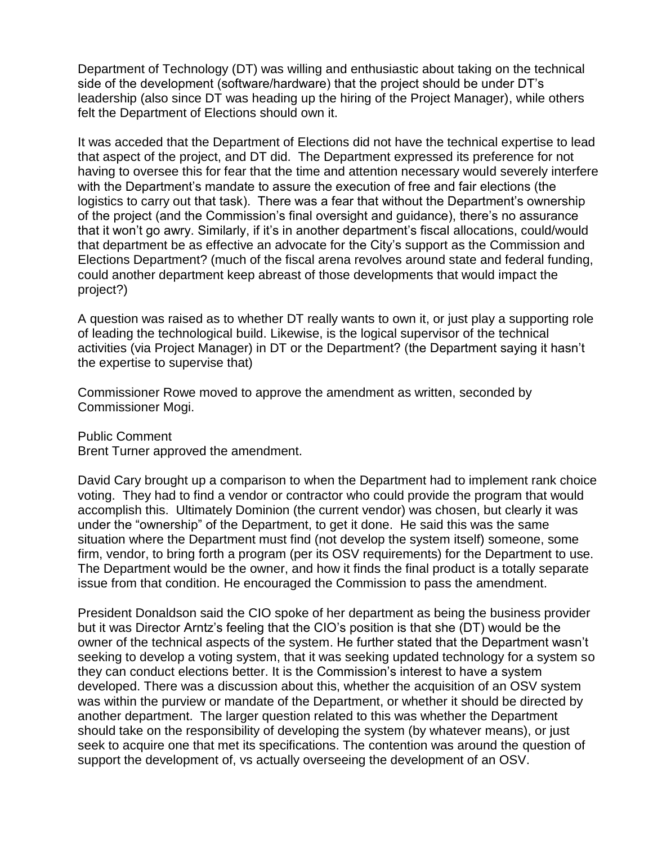Department of Technology (DT) was willing and enthusiastic about taking on the technical side of the development (software/hardware) that the project should be under DT's leadership (also since DT was heading up the hiring of the Project Manager), while others felt the Department of Elections should own it.

It was acceded that the Department of Elections did not have the technical expertise to lead that aspect of the project, and DT did. The Department expressed its preference for not having to oversee this for fear that the time and attention necessary would severely interfere with the Department's mandate to assure the execution of free and fair elections (the logistics to carry out that task). There was a fear that without the Department's ownership of the project (and the Commission's final oversight and guidance), there's no assurance that it won't go awry. Similarly, if it's in another department's fiscal allocations, could/would that department be as effective an advocate for the City's support as the Commission and Elections Department? (much of the fiscal arena revolves around state and federal funding, could another department keep abreast of those developments that would impact the project?)

A question was raised as to whether DT really wants to own it, or just play a supporting role of leading the technological build. Likewise, is the logical supervisor of the technical activities (via Project Manager) in DT or the Department? (the Department saying it hasn't the expertise to supervise that)

Commissioner Rowe moved to approve the amendment as written, seconded by Commissioner Mogi.

Public Comment

Brent Turner approved the amendment.

David Cary brought up a comparison to when the Department had to implement rank choice voting. They had to find a vendor or contractor who could provide the program that would accomplish this. Ultimately Dominion (the current vendor) was chosen, but clearly it was under the "ownership" of the Department, to get it done. He said this was the same situation where the Department must find (not develop the system itself) someone, some firm, vendor, to bring forth a program (per its OSV requirements) for the Department to use. The Department would be the owner, and how it finds the final product is a totally separate issue from that condition. He encouraged the Commission to pass the amendment.

President Donaldson said the CIO spoke of her department as being the business provider but it was Director Arntz's feeling that the CIO's position is that she (DT) would be the owner of the technical aspects of the system. He further stated that the Department wasn't seeking to develop a voting system, that it was seeking updated technology for a system so they can conduct elections better. It is the Commission's interest to have a system developed. There was a discussion about this, whether the acquisition of an OSV system was within the purview or mandate of the Department, or whether it should be directed by another department. The larger question related to this was whether the Department should take on the responsibility of developing the system (by whatever means), or just seek to acquire one that met its specifications. The contention was around the question of support the development of, vs actually overseeing the development of an OSV.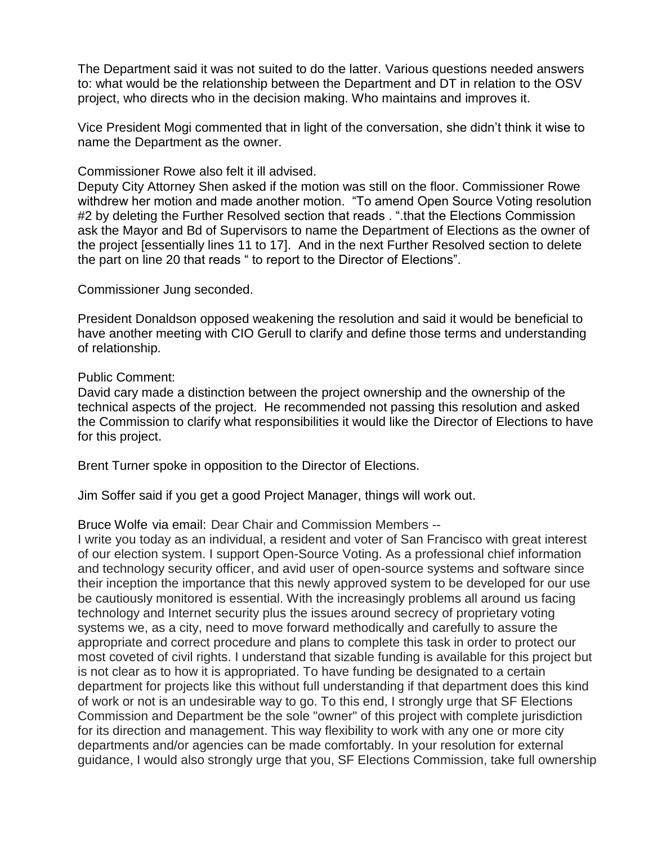The Department said it was not suited to do the latter. Various questions needed answers to: what would be the relationship between the Department and DT in relation to the OSV project, who directs who in the decision making. Who maintains and improves it.

Vice President Mogi commented that in light of the conversation, she didn't think it wise to name the Department as the owner.

Commissioner Rowe also felt it ill advised.

Deputy City Attorney Shen asked if the motion was still on the floor. Commissioner Rowe withdrew her motion and made another motion. "To amend Open Source Voting resolution #2 by deleting the Further Resolved section that reads . ".that the Elections Commission ask the Mayor and Bd of Supervisors to name the Department of Elections as the owner of the project [essentially lines 11 to 17]. And in the next Further Resolved section to delete the part on line 20 that reads " to report to the Director of Elections".

Commissioner Jung seconded.

President Donaldson opposed weakening the resolution and said it would be beneficial to have another meeting with CIO Gerull to clarify and define those terms and understanding of relationship.

Public Comment:

David cary made a distinction between the project ownership and the ownership of the technical aspects of the project. He recommended not passing this resolution and asked the Commission to clarify what responsibilities it would like the Director of Elections to have for this project.

Brent Turner spoke in opposition to the Director of Elections.

Jim Soffer said if you get a good Project Manager, things will work out.

Bruce Wolfe via email: Dear Chair and Commission Members --

I write you today as an individual, a resident and voter of San Francisco with great interest of our election system. I support Open-Source Voting. As a professional chief information and technology security officer, and avid user of open-source systems and software since their inception the importance that this newly approved system to be developed for our use be cautiously monitored is essential. With the increasingly problems all around us facing technology and Internet security plus the issues around secrecy of proprietary voting systems we, as a city, need to move forward methodically and carefully to assure the appropriate and correct procedure and plans to complete this task in order to protect our most coveted of civil rights. I understand that sizable funding is available for this project but is not clear as to how it is appropriated. To have funding be designated to a certain department for projects like this without full understanding if that department does this kind of work or not is an undesirable way to go. To this end, I strongly urge that SF Elections Commission and Department be the sole "owner" of this project with complete jurisdiction for its direction and management. This way flexibility to work with any one or more city departments and/or agencies can be made comfortably. In your resolution for external guidance, I would also strongly urge that you, SF Elections Commission, take full ownership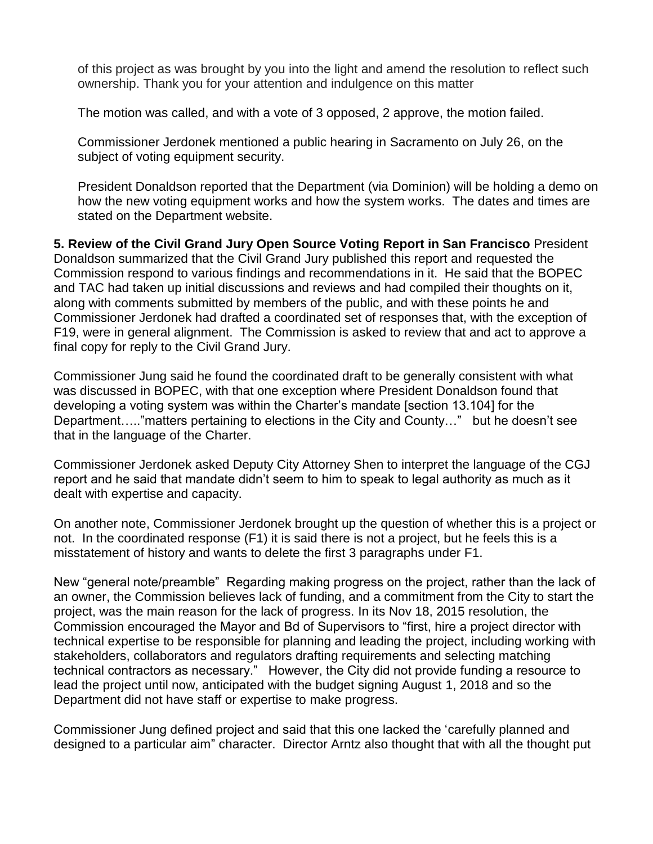of this project as was brought by you into the light and amend the resolution to reflect such ownership. Thank you for your attention and indulgence on this matter

The motion was called, and with a vote of 3 opposed, 2 approve, the motion failed.

Commissioner Jerdonek mentioned a public hearing in Sacramento on July 26, on the subject of voting equipment security.

President Donaldson reported that the Department (via Dominion) will be holding a demo on how the new voting equipment works and how the system works. The dates and times are stated on the Department website.

**5. Review of the Civil Grand Jury Open Source Voting Report in San Francisco** President Donaldson summarized that the Civil Grand Jury published this report and requested the Commission respond to various findings and recommendations in it. He said that the BOPEC and TAC had taken up initial discussions and reviews and had compiled their thoughts on it, along with comments submitted by members of the public, and with these points he and Commissioner Jerdonek had drafted a coordinated set of responses that, with the exception of F19, were in general alignment. The Commission is asked to review that and act to approve a final copy for reply to the Civil Grand Jury.

Commissioner Jung said he found the coordinated draft to be generally consistent with what was discussed in BOPEC, with that one exception where President Donaldson found that developing a voting system was within the Charter's mandate [section 13.104] for the Department….."matters pertaining to elections in the City and County…" but he doesn't see that in the language of the Charter.

Commissioner Jerdonek asked Deputy City Attorney Shen to interpret the language of the CGJ report and he said that mandate didn't seem to him to speak to legal authority as much as it dealt with expertise and capacity.

On another note, Commissioner Jerdonek brought up the question of whether this is a project or not. In the coordinated response (F1) it is said there is not a project, but he feels this is a misstatement of history and wants to delete the first 3 paragraphs under F1.

New "general note/preamble" Regarding making progress on the project, rather than the lack of an owner, the Commission believes lack of funding, and a commitment from the City to start the project, was the main reason for the lack of progress. In its Nov 18, 2015 resolution, the Commission encouraged the Mayor and Bd of Supervisors to "first, hire a project director with technical expertise to be responsible for planning and leading the project, including working with stakeholders, collaborators and regulators drafting requirements and selecting matching technical contractors as necessary." However, the City did not provide funding a resource to lead the project until now, anticipated with the budget signing August 1, 2018 and so the Department did not have staff or expertise to make progress.

Commissioner Jung defined project and said that this one lacked the 'carefully planned and designed to a particular aim" character. Director Arntz also thought that with all the thought put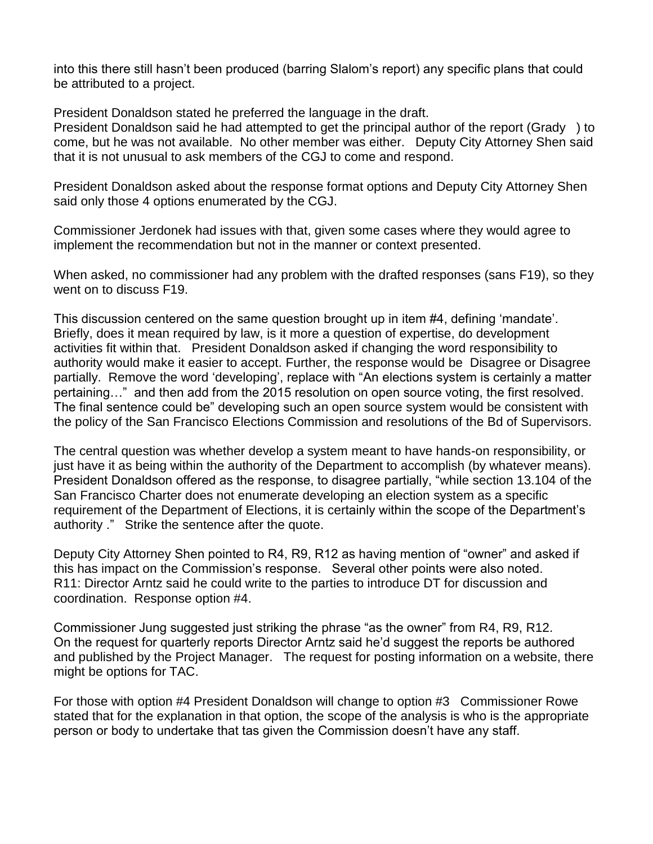into this there still hasn't been produced (barring Slalom's report) any specific plans that could be attributed to a project.

President Donaldson stated he preferred the language in the draft.

President Donaldson said he had attempted to get the principal author of the report (Grady ) to come, but he was not available. No other member was either. Deputy City Attorney Shen said that it is not unusual to ask members of the CGJ to come and respond.

President Donaldson asked about the response format options and Deputy City Attorney Shen said only those 4 options enumerated by the CGJ.

Commissioner Jerdonek had issues with that, given some cases where they would agree to implement the recommendation but not in the manner or context presented.

When asked, no commissioner had any problem with the drafted responses (sans F19), so they went on to discuss F19.

This discussion centered on the same question brought up in item #4, defining 'mandate'. Briefly, does it mean required by law, is it more a question of expertise, do development activities fit within that. President Donaldson asked if changing the word responsibility to authority would make it easier to accept. Further, the response would be Disagree or Disagree partially. Remove the word 'developing', replace with "An elections system is certainly a matter pertaining…" and then add from the 2015 resolution on open source voting, the first resolved. The final sentence could be" developing such an open source system would be consistent with the policy of the San Francisco Elections Commission and resolutions of the Bd of Supervisors.

The central question was whether develop a system meant to have hands-on responsibility, or just have it as being within the authority of the Department to accomplish (by whatever means). President Donaldson offered as the response, to disagree partially, "while section 13.104 of the San Francisco Charter does not enumerate developing an election system as a specific requirement of the Department of Elections, it is certainly within the scope of the Department's authority ." Strike the sentence after the quote.

Deputy City Attorney Shen pointed to R4, R9, R12 as having mention of "owner" and asked if this has impact on the Commission's response. Several other points were also noted. R11: Director Arntz said he could write to the parties to introduce DT for discussion and coordination. Response option #4.

Commissioner Jung suggested just striking the phrase "as the owner" from R4, R9, R12. On the request for quarterly reports Director Arntz said he'd suggest the reports be authored and published by the Project Manager. The request for posting information on a website, there might be options for TAC.

For those with option #4 President Donaldson will change to option #3 Commissioner Rowe stated that for the explanation in that option, the scope of the analysis is who is the appropriate person or body to undertake that tas given the Commission doesn't have any staff.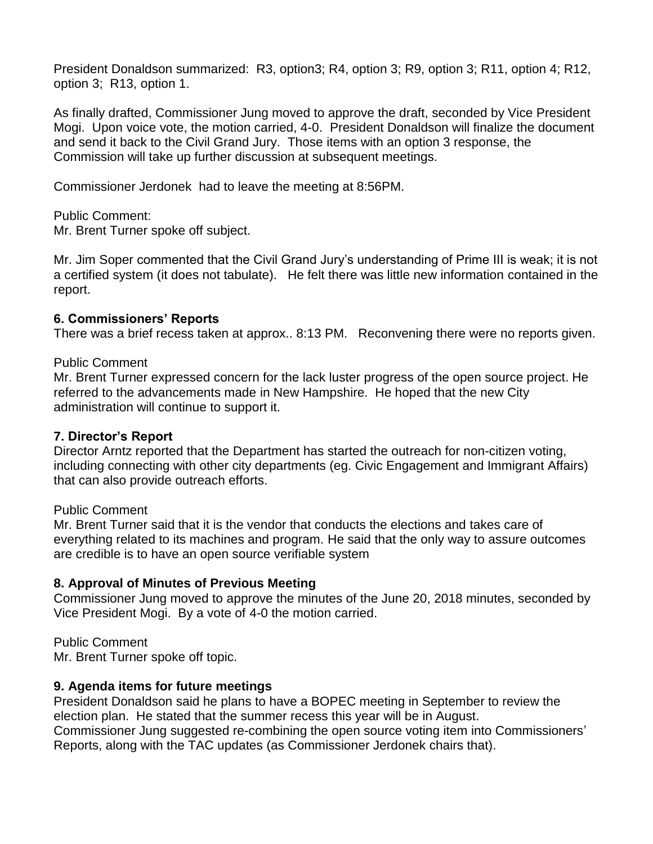President Donaldson summarized: R3, option3; R4, option 3; R9, option 3; R11, option 4; R12, option 3; R13, option 1.

As finally drafted, Commissioner Jung moved to approve the draft, seconded by Vice President Mogi. Upon voice vote, the motion carried, 4-0. President Donaldson will finalize the document and send it back to the Civil Grand Jury. Those items with an option 3 response, the Commission will take up further discussion at subsequent meetings.

Commissioner Jerdonek had to leave the meeting at 8:56PM.

Public Comment:

Mr. Brent Turner spoke off subject.

Mr. Jim Soper commented that the Civil Grand Jury's understanding of Prime III is weak; it is not a certified system (it does not tabulate). He felt there was little new information contained in the report.

#### **6. Commissioners' Reports**

There was a brief recess taken at approx.. 8:13 PM. Reconvening there were no reports given.

#### Public Comment

Mr. Brent Turner expressed concern for the lack luster progress of the open source project. He referred to the advancements made in New Hampshire. He hoped that the new City administration will continue to support it.

### **7. Director's Report**

Director Arntz reported that the Department has started the outreach for non-citizen voting, including connecting with other city departments (eg. Civic Engagement and Immigrant Affairs) that can also provide outreach efforts.

### Public Comment

Mr. Brent Turner said that it is the vendor that conducts the elections and takes care of everything related to its machines and program. He said that the only way to assure outcomes are credible is to have an open source verifiable system

### **8. Approval of Minutes of Previous Meeting**

Commissioner Jung moved to approve the minutes of the June 20, 2018 minutes, seconded by Vice President Mogi. By a vote of 4-0 the motion carried.

Public Comment

Mr. Brent Turner spoke off topic.

### **9. Agenda items for future meetings**

President Donaldson said he plans to have a BOPEC meeting in September to review the election plan. He stated that the summer recess this year will be in August.

Commissioner Jung suggested re-combining the open source voting item into Commissioners' Reports, along with the TAC updates (as Commissioner Jerdonek chairs that).